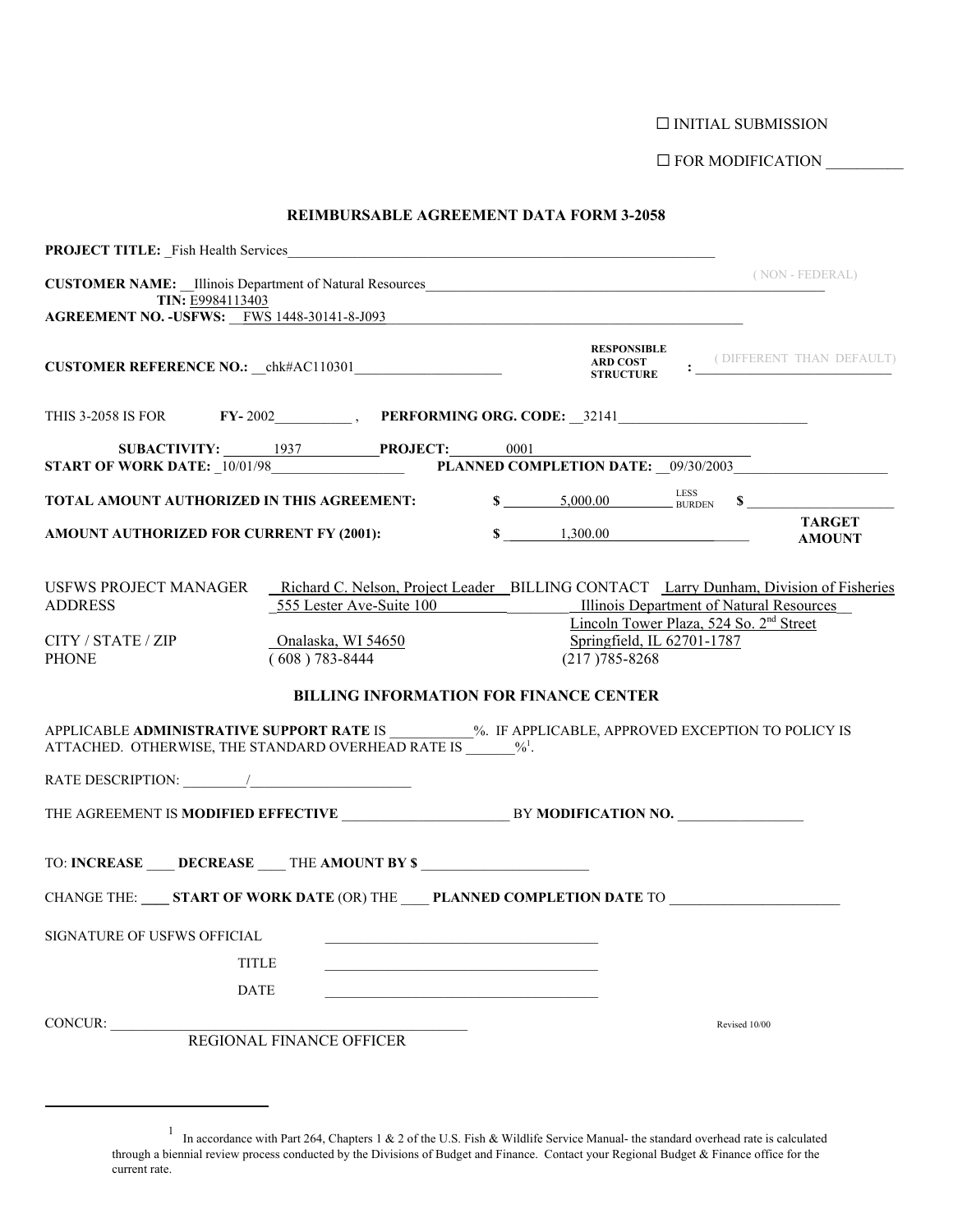$\Box$ INITIAL SUBMISSION

G FOR MODIFICATION \_\_\_\_\_\_\_\_\_\_

|  | REIMBURSABLE AGREEMENT DATA FORM 3-2058 |  |
|--|-----------------------------------------|--|
|--|-----------------------------------------|--|

| <b>PROJECT TITLE:</b> Fish Health Services                                                                                                                          |                                                                                                                                                                |                             |                                                                                   |                                            |
|---------------------------------------------------------------------------------------------------------------------------------------------------------------------|----------------------------------------------------------------------------------------------------------------------------------------------------------------|-----------------------------|-----------------------------------------------------------------------------------|--------------------------------------------|
| CUSTOMER NAME: _Illinois Department of Natural Resources<br>TIN: E9984113403                                                                                        |                                                                                                                                                                |                             |                                                                                   | (NON - FEDERAL)                            |
| AGREEMENT NO. - USFWS: FWS 1448-30141-8-J093                                                                                                                        |                                                                                                                                                                |                             |                                                                                   |                                            |
|                                                                                                                                                                     |                                                                                                                                                                | <b>RESPONSIBLE</b>          |                                                                                   | ARD COST : (DIFFERENT THAN DEFAULT)        |
|                                                                                                                                                                     |                                                                                                                                                                |                             |                                                                                   |                                            |
| START OF WORK DATE: 10/01/98 PLANNED COMPLETION DATE: _09/30/2003                                                                                                   | SUBACTIVITY: 1937 PROJECT: 0001                                                                                                                                |                             |                                                                                   |                                            |
| TOTAL AMOUNT AUTHORIZED IN THIS AGREEMENT:                                                                                                                          |                                                                                                                                                                |                             |                                                                                   | $\sim$ 5,000.00 $\sim$ ESS BURDEN $\sim$ S |
| AMOUNT AUTHORIZED FOR CURRENT FY (2001):                                                                                                                            |                                                                                                                                                                | $\frac{1,300.00}{1,300.00}$ |                                                                                   | <b>TARGET</b><br><b>AMOUNT</b>             |
| USFWS PROJECT MANAGER Richard C. Nelson, Project Leader BILLING CONTACT Larry Dunham, Division of Fisheries<br><b>ADDRESS</b><br>CITY / STATE / ZIP<br><b>PHONE</b> | 555 Lester Ave-Suite 100 Illinois Department of Natural Resources<br>Onalaska, WI 54650<br>$(608) 783 - 8444$<br><b>BILLING INFORMATION FOR FINANCE CENTER</b> | $(217)785 - 8268$           | Lincoln Tower Plaza, 524 So. 2 <sup>nd</sup> Street<br>Springfield, IL 62701-1787 |                                            |
| APPLICABLE ADMINISTRATIVE SUPPORT RATE IS __________%. IF APPLICABLE, APPROVED EXCEPTION TO POLICY IS<br>ATTACHED. OTHERWISE, THE STANDARD OVERHEAD RATE IS $\%$ .  |                                                                                                                                                                |                             |                                                                                   |                                            |
| RATE DESCRIPTION: $\_\_\_\_\_\_\_\_\_\$                                                                                                                             |                                                                                                                                                                |                             |                                                                                   |                                            |
|                                                                                                                                                                     |                                                                                                                                                                |                             |                                                                                   |                                            |
| TO: INCREASE ____ DECREASE ____ THE AMOUNT BY \$                                                                                                                    |                                                                                                                                                                |                             |                                                                                   |                                            |
| CHANGE THE: _____ START OF WORK DATE (OR) THE ______ PLANNED COMPLETION DATE TO ____________________                                                                |                                                                                                                                                                |                             |                                                                                   |                                            |
| SIGNATURE OF USFWS OFFICIAL                                                                                                                                         |                                                                                                                                                                |                             |                                                                                   |                                            |
| <b>TITLE</b>                                                                                                                                                        |                                                                                                                                                                |                             |                                                                                   |                                            |
| <b>DATE</b>                                                                                                                                                         |                                                                                                                                                                |                             |                                                                                   |                                            |
| CONCUR:                                                                                                                                                             | REGIONAL FINANCE OFFICER                                                                                                                                       |                             | Revised 10/00                                                                     |                                            |

<sup>&</sup>lt;sup>1</sup> In accordance with Part 264, Chapters 1 & 2 of the U.S. Fish & Wildlife Service Manual- the standard overhead rate is calculated through a biennial review process conducted by the Divisions of Budget and Finance. Contact your Regional Budget  $\&$  Finance office for the current rate.